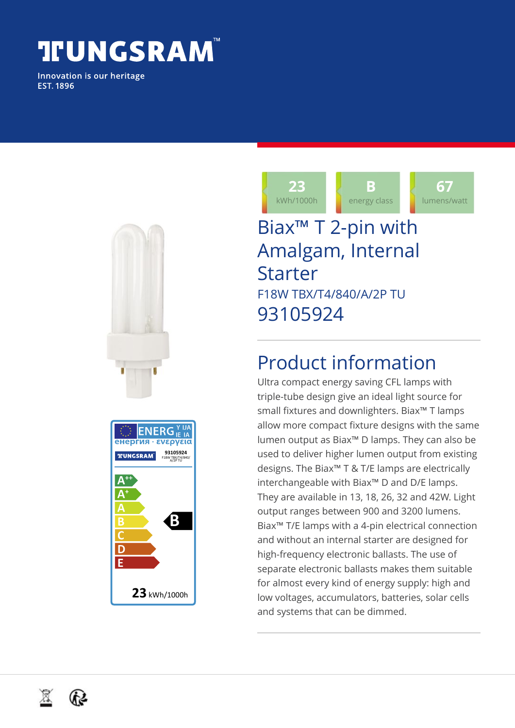# **TIUNGSRAM**

Innovation is our heritage **EST. 1896** 



#### **23** kWh/1000h **B** energy class **67** lumens/watt Biax™ T 2-pin with Amalgam, Internal Starter F18W TBX/T4/840/A/2P TU 93105924

### Product information

Ultra compact energy saving CFL lamps with triple-tube design give an ideal light source for small fixtures and downlighters. Biax™ T lamps allow more compact fixture designs with the same lumen output as Biax™ D lamps. They can also be used to deliver higher lumen output from existing designs. The Biax™ T & T/E lamps are electrically interchangeable with Biax™ D and D/E lamps. They are available in 13, 18, 26, 32 and 42W. Light output ranges between 900 and 3200 lumens. Biax™ T/E lamps with a 4-pin electrical connection and without an internal starter are designed for high-frequency electronic ballasts. The use of separate electronic ballasts makes them suitable for almost every kind of energy supply: high and low voltages, accumulators, batteries, solar cells and systems that can be dimmed.

⊠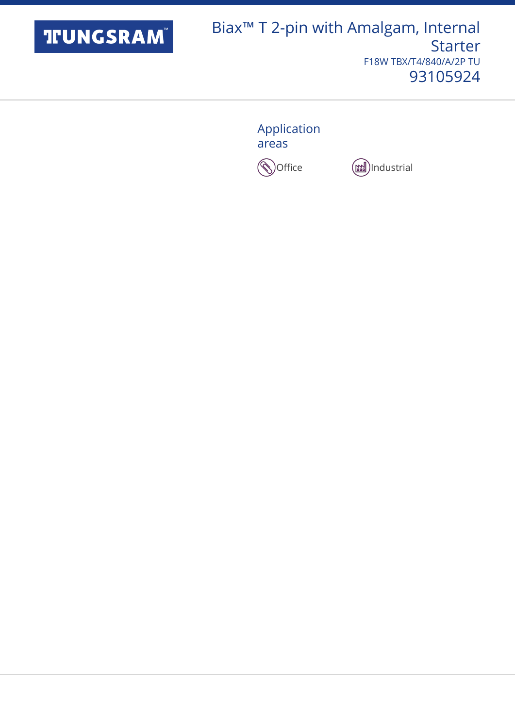

Application areas



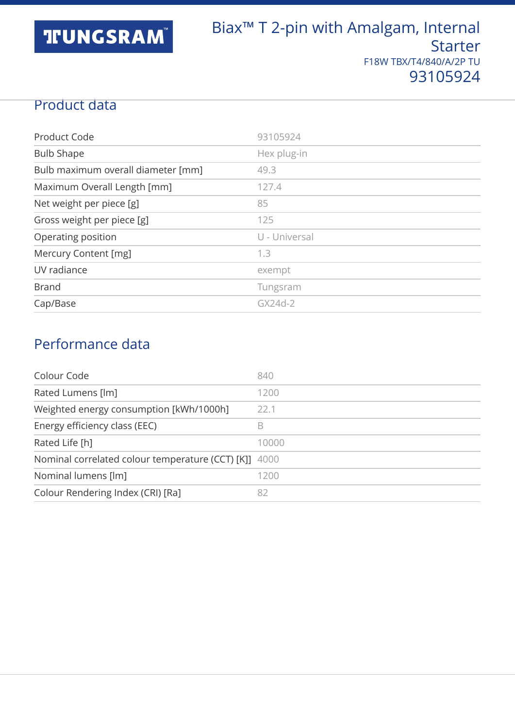## **TFUNGSRAM**

#### Product data

| Product Code                       | 93105924      |
|------------------------------------|---------------|
| <b>Bulb Shape</b>                  | Hex plug-in   |
| Bulb maximum overall diameter [mm] | 49.3          |
| Maximum Overall Length [mm]        | 127.4         |
| Net weight per piece [g]           | 85            |
| Gross weight per piece [g]         | 125           |
| Operating position                 | U - Universal |
| Mercury Content [mg]               | 1.3           |
| UV radiance                        | exempt        |
| <b>Brand</b>                       | Tungsram      |
| Cap/Base                           | GX24d-2       |

### Performance data

| Colour Code                                           | 840   |
|-------------------------------------------------------|-------|
| Rated Lumens [lm]                                     | 1200  |
| Weighted energy consumption [kWh/1000h]               | 22.1  |
| Energy efficiency class (EEC)                         | В     |
| Rated Life [h]                                        | 10000 |
| Nominal correlated colour temperature (CCT) [K]] 4000 |       |
| Nominal lumens [lm]                                   | 1200  |
| Colour Rendering Index (CRI) [Ra]                     | 82    |